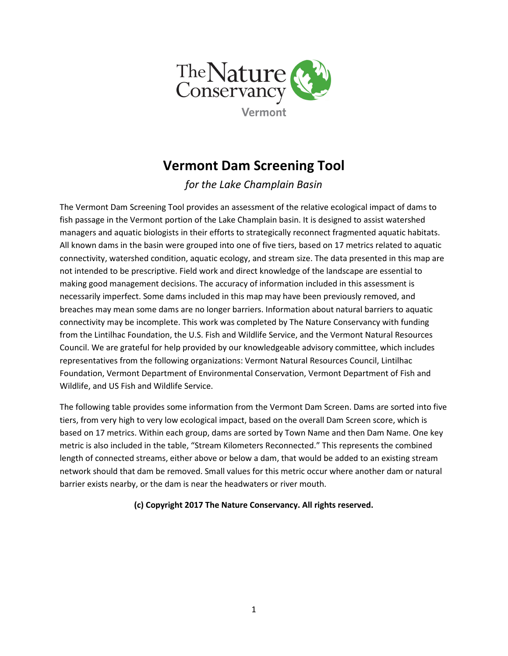

## Vermont Dam Screening Tool

for the Lake Champlain Basin

The Vermont Dam Screening Tool provides an assessment of the relative ecological impact of dams to fish passage in the Vermont portion of the Lake Champlain basin. It is designed to assist watershed managers and aquatic biologists in their efforts to strategically reconnect fragmented aquatic habitats. All known dams in the basin were grouped into one of five tiers, based on 17 metrics related to aquatic connectivity, watershed condition, aquatic ecology, and stream size. The data presented in this map are not intended to be prescriptive. Field work and direct knowledge of the landscape are essential to making good management decisions. The accuracy of information included in this assessment is necessarily imperfect. Some dams included in this map may have been previously removed, and breaches may mean some dams are no longer barriers. Information about natural barriers to aquatic connectivity may be incomplete. This work was completed by The Nature Conservancy with funding from the Lintilhac Foundation, the U.S. Fish and Wildlife Service, and the Vermont Natural Resources Council. We are grateful for help provided by our knowledgeable advisory committee, which includes representatives from the following organizations: Vermont Natural Resources Council, Lintilhac Foundation, Vermont Department of Environmental Conservation, Vermont Department of Fish and Wildlife, and US Fish and Wildlife Service.

The following table provides some information from the Vermont Dam Screen. Dams are sorted into five tiers, from very high to very low ecological impact, based on the overall Dam Screen score, which is based on 17 metrics. Within each group, dams are sorted by Town Name and then Dam Name. One key metric is also included in the table, "Stream Kilometers Reconnected." This represents the combined length of connected streams, either above or below a dam, that would be added to an existing stream network should that dam be removed. Small values for this metric occur where another dam or natural barrier exists nearby, or the dam is near the headwaters or river mouth.

(c) Copyright 2017 The Nature Conservancy. All rights reserved.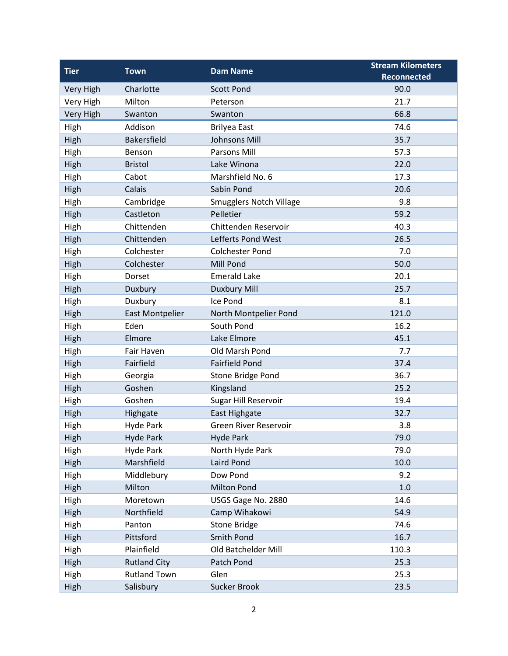| <b>Tier</b>      | <b>Town</b>            | <b>Dam Name</b>                | <b>Stream Kilometers</b> |
|------------------|------------------------|--------------------------------|--------------------------|
|                  |                        |                                | <b>Reconnected</b>       |
| <b>Very High</b> | Charlotte              | <b>Scott Pond</b>              | 90.0                     |
| Very High        | Milton                 | Peterson                       | 21.7                     |
| Very High        | Swanton                | Swanton                        | 66.8                     |
| High             | Addison                | <b>Brilyea East</b>            | 74.6                     |
| High             | <b>Bakersfield</b>     | <b>Johnsons Mill</b>           | 35.7                     |
| High             | Benson                 | Parsons Mill                   | 57.3                     |
| High             | <b>Bristol</b>         | Lake Winona                    | 22.0                     |
| High             | Cabot                  | Marshfield No. 6               | 17.3                     |
| High             | Calais                 | Sabin Pond                     | 20.6                     |
| High             | Cambridge              | <b>Smugglers Notch Village</b> | 9.8                      |
| High             | Castleton              | Pelletier                      | 59.2                     |
| High             | Chittenden             | Chittenden Reservoir           | 40.3                     |
| High             | Chittenden             | Lefferts Pond West             | 26.5                     |
| High             | Colchester             | <b>Colchester Pond</b>         | 7.0                      |
| High             | Colchester             | Mill Pond                      | 50.0                     |
| High             | Dorset                 | <b>Emerald Lake</b>            | 20.1                     |
| High             | Duxbury                | <b>Duxbury Mill</b>            | 25.7                     |
| High             | Duxbury                | Ice Pond                       | 8.1                      |
| High             | <b>East Montpelier</b> | North Montpelier Pond          | 121.0                    |
| High             | Eden                   | South Pond                     | 16.2                     |
| High             | Elmore                 | Lake Elmore                    | 45.1                     |
| High             | Fair Haven             | Old Marsh Pond                 | 7.7                      |
| High             | Fairfield              | <b>Fairfield Pond</b>          | 37.4                     |
| High             | Georgia                | Stone Bridge Pond              | 36.7                     |
| High             | Goshen                 | Kingsland                      | 25.2                     |
| High             | Goshen                 | Sugar Hill Reservoir           | 19.4                     |
| High             | Highgate               | East Highgate                  | 32.7                     |
| High             | <b>Hyde Park</b>       | <b>Green River Reservoir</b>   | 3.8                      |
| High             | <b>Hyde Park</b>       | <b>Hyde Park</b>               | 79.0                     |
| High             | <b>Hyde Park</b>       | North Hyde Park                | 79.0                     |
| High             | Marshfield             | Laird Pond                     | 10.0                     |
| High             | Middlebury             | Dow Pond                       | 9.2                      |
| High             | Milton                 | <b>Milton Pond</b>             | 1.0                      |
| High             | Moretown               | USGS Gage No. 2880             | 14.6                     |
| High             | Northfield             | Camp Wihakowi                  | 54.9                     |
| High             | Panton                 | <b>Stone Bridge</b>            | 74.6                     |
| High             | Pittsford              | Smith Pond                     | 16.7                     |
| High             | Plainfield             | Old Batchelder Mill            | 110.3                    |
| High             | <b>Rutland City</b>    | Patch Pond                     | 25.3                     |
| High             | <b>Rutland Town</b>    | Glen                           | 25.3                     |
| High             | Salisbury              | Sucker Brook                   | 23.5                     |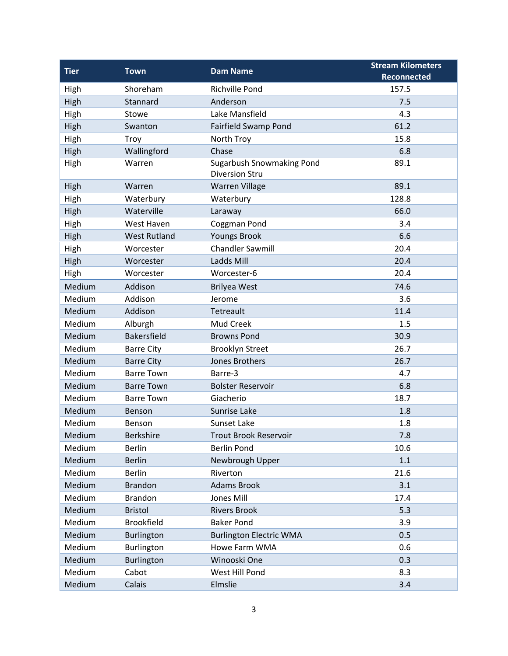| <b>Tier</b> | <b>Town</b>         | <b>Dam Name</b>                                           | <b>Stream Kilometers</b> |
|-------------|---------------------|-----------------------------------------------------------|--------------------------|
|             |                     |                                                           | <b>Reconnected</b>       |
| High        | Shoreham            | <b>Richville Pond</b>                                     | 157.5                    |
| High        | Stannard            | Anderson                                                  | 7.5                      |
| High        | Stowe               | Lake Mansfield                                            | 4.3                      |
| High        | Swanton             | Fairfield Swamp Pond                                      | 61.2                     |
| High        | <b>Troy</b>         | North Troy                                                | 15.8                     |
| High        | Wallingford         | Chase                                                     | 6.8                      |
| High        | Warren              | <b>Sugarbush Snowmaking Pond</b><br><b>Diversion Stru</b> | 89.1                     |
| High        | Warren              | <b>Warren Village</b>                                     | 89.1                     |
| High        | Waterbury           | Waterbury                                                 | 128.8                    |
| High        | Waterville          | Laraway                                                   | 66.0                     |
| High        | West Haven          | Coggman Pond                                              | 3.4                      |
| High        | <b>West Rutland</b> | <b>Youngs Brook</b>                                       | 6.6                      |
| High        | Worcester           | <b>Chandler Sawmill</b>                                   | 20.4                     |
| High        | Worcester           | Ladds Mill                                                | 20.4                     |
| High        | Worcester           | Worcester-6                                               | 20.4                     |
| Medium      | Addison             | <b>Brilyea West</b>                                       | 74.6                     |
| Medium      | Addison             | Jerome                                                    | 3.6                      |
| Medium      | Addison             | Tetreault                                                 | 11.4                     |
| Medium      | Alburgh             | Mud Creek                                                 | 1.5                      |
| Medium      | <b>Bakersfield</b>  | <b>Browns Pond</b>                                        | 30.9                     |
| Medium      | <b>Barre City</b>   | <b>Brooklyn Street</b>                                    | 26.7                     |
| Medium      | <b>Barre City</b>   | Jones Brothers                                            | 26.7                     |
| Medium      | <b>Barre Town</b>   | Barre-3                                                   | 4.7                      |
| Medium      | <b>Barre Town</b>   | <b>Bolster Reservoir</b>                                  | 6.8                      |
| Medium      | <b>Barre Town</b>   | Giacherio                                                 | 18.7                     |
| Medium      | Benson              | Sunrise Lake                                              | 1.8                      |
| Medium      | Benson              | Sunset Lake                                               | 1.8                      |
| Medium      | Berkshire           | <b>Trout Brook Reservoir</b>                              | 7.8                      |
| Medium      | <b>Berlin</b>       | <b>Berlin Pond</b>                                        | 10.6                     |
| Medium      | <b>Berlin</b>       | Newbrough Upper                                           | 1.1                      |
| Medium      | Berlin              | Riverton                                                  | 21.6                     |
| Medium      | <b>Brandon</b>      | <b>Adams Brook</b>                                        | 3.1                      |
| Medium      | Brandon             | <b>Jones Mill</b>                                         | 17.4                     |
| Medium      | <b>Bristol</b>      | <b>Rivers Brook</b>                                       | 5.3                      |
| Medium      | <b>Brookfield</b>   | <b>Baker Pond</b>                                         | 3.9                      |
| Medium      | Burlington          | <b>Burlington Electric WMA</b>                            | 0.5                      |
| Medium      | Burlington          | Howe Farm WMA                                             | 0.6                      |
| Medium      | Burlington          | Winooski One                                              | 0.3                      |
| Medium      | Cabot               | West Hill Pond                                            | 8.3                      |
| Medium      | Calais              | Elmslie                                                   | 3.4                      |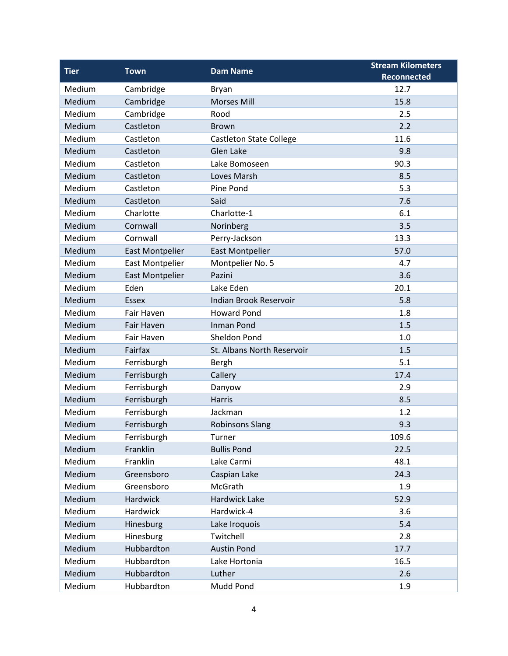| <b>Tier</b> | <b>Town</b>            | <b>Dam Name</b>                | <b>Stream Kilometers</b> |
|-------------|------------------------|--------------------------------|--------------------------|
|             |                        |                                | <b>Reconnected</b>       |
| Medium      | Cambridge              | <b>Bryan</b>                   | 12.7                     |
| Medium      | Cambridge              | <b>Morses Mill</b>             | 15.8                     |
| Medium      | Cambridge              | Rood                           | 2.5                      |
| Medium      | Castleton              | <b>Brown</b>                   | 2.2                      |
| Medium      | Castleton              | <b>Castleton State College</b> | 11.6                     |
| Medium      | Castleton              | Glen Lake                      | 9.8                      |
| Medium      | Castleton              | Lake Bomoseen                  | 90.3                     |
| Medium      | Castleton              | Loves Marsh                    | 8.5                      |
| Medium      | Castleton              | Pine Pond                      | 5.3                      |
| Medium      | Castleton              | Said                           | 7.6                      |
| Medium      | Charlotte              | Charlotte-1                    | 6.1                      |
| Medium      | Cornwall               | Norinberg                      | 3.5                      |
| Medium      | Cornwall               | Perry-Jackson                  | 13.3                     |
| Medium      | <b>East Montpelier</b> | <b>East Montpelier</b>         | 57.0                     |
| Medium      | <b>East Montpelier</b> | Montpelier No. 5               | 4.7                      |
| Medium      | <b>East Montpelier</b> | Pazini                         | 3.6                      |
| Medium      | Eden                   | Lake Eden                      | 20.1                     |
| Medium      | <b>Essex</b>           | Indian Brook Reservoir         | 5.8                      |
| Medium      | Fair Haven             | <b>Howard Pond</b>             | 1.8                      |
| Medium      | <b>Fair Haven</b>      | <b>Inman Pond</b>              | 1.5                      |
| Medium      | Fair Haven             | Sheldon Pond                   | 1.0                      |
| Medium      | Fairfax                | St. Albans North Reservoir     | 1.5                      |
| Medium      | Ferrisburgh            | Bergh                          | 5.1                      |
| Medium      | Ferrisburgh            | Callery                        | 17.4                     |
| Medium      | Ferrisburgh            | Danyow                         | 2.9                      |
| Medium      | Ferrisburgh            | <b>Harris</b>                  | 8.5                      |
| Medium      | Ferrisburgh            | Jackman                        | 1.2                      |
| Medium      | Ferrisburgh            | <b>Robinsons Slang</b>         | 9.3                      |
| Medium      | Ferrisburgh            | Turner                         | 109.6                    |
| Medium      | Franklin               | <b>Bullis Pond</b>             | 22.5                     |
| Medium      | Franklin               | Lake Carmi                     | 48.1                     |
| Medium      | Greensboro             | Caspian Lake                   | 24.3                     |
| Medium      | Greensboro             | McGrath                        | 1.9                      |
| Medium      | Hardwick               | Hardwick Lake                  | 52.9                     |
| Medium      | Hardwick               | Hardwick-4                     | 3.6                      |
| Medium      | Hinesburg              | Lake Iroquois                  | 5.4                      |
| Medium      | Hinesburg              | Twitchell                      | 2.8                      |
| Medium      | Hubbardton             | <b>Austin Pond</b>             | 17.7                     |
| Medium      | Hubbardton             | Lake Hortonia                  | 16.5                     |
| Medium      | Hubbardton             | Luther                         | 2.6                      |
| Medium      | Hubbardton             | Mudd Pond                      | 1.9                      |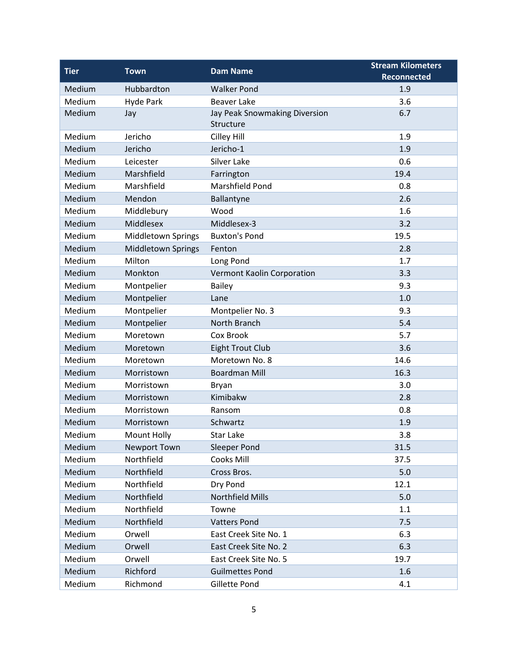| <b>Tier</b> | <b>Town</b>               | <b>Dam Name</b>               | <b>Stream Kilometers</b> |
|-------------|---------------------------|-------------------------------|--------------------------|
|             |                           |                               | <b>Reconnected</b>       |
| Medium      | Hubbardton                | <b>Walker Pond</b>            | 1.9                      |
| Medium      | <b>Hyde Park</b>          | <b>Beaver Lake</b>            | 3.6                      |
| Medium      | Jay                       | Jay Peak Snowmaking Diversion | 6.7                      |
|             |                           | Structure                     |                          |
| Medium      | Jericho                   | Cilley Hill                   | 1.9                      |
| Medium      | Jericho                   | Jericho-1                     | 1.9                      |
| Medium      | Leicester                 | <b>Silver Lake</b>            | 0.6                      |
| Medium      | Marshfield                | Farrington                    | 19.4                     |
| Medium      | Marshfield                | Marshfield Pond               | 0.8                      |
| Medium      | Mendon                    | Ballantyne                    | 2.6                      |
| Medium      | Middlebury                | Wood                          | 1.6                      |
| Medium      | Middlesex                 | Middlesex-3                   | 3.2                      |
| Medium      | Middletown Springs        | <b>Buxton's Pond</b>          | 19.5                     |
| Medium      | <b>Middletown Springs</b> | Fenton                        | 2.8                      |
| Medium      | Milton                    | Long Pond                     | 1.7                      |
| Medium      | Monkton                   | Vermont Kaolin Corporation    | 3.3                      |
| Medium      | Montpelier                | Bailey                        | 9.3                      |
| Medium      | Montpelier                | Lane                          | 1.0                      |
| Medium      | Montpelier                | Montpelier No. 3              | 9.3                      |
| Medium      | Montpelier                | North Branch                  | 5.4                      |
| Medium      | Moretown                  | Cox Brook                     | 5.7                      |
| Medium      | Moretown                  | <b>Eight Trout Club</b>       | 3.6                      |
| Medium      | Moretown                  | Moretown No. 8                | 14.6                     |
| Medium      | Morristown                | <b>Boardman Mill</b>          | 16.3                     |
| Medium      | Morristown                | Bryan                         | 3.0                      |
| Medium      | Morristown                | Kimibakw                      | 2.8                      |
| Medium      | Morristown                | Ransom                        | 0.8                      |
| Medium      | Morristown                | Schwartz                      | 1.9                      |
| Medium      | Mount Holly               | Star Lake                     | 3.8                      |
| Medium      | Newport Town              | <b>Sleeper Pond</b>           | 31.5                     |
| Medium      | Northfield                | Cooks Mill                    | 37.5                     |
| Medium      | Northfield                | Cross Bros.                   | 5.0                      |
| Medium      | Northfield                | Dry Pond                      | 12.1                     |
| Medium      | Northfield                | <b>Northfield Mills</b>       | 5.0                      |
| Medium      | Northfield                | Towne                         | 1.1                      |
| Medium      | Northfield                | <b>Vatters Pond</b>           | 7.5                      |
| Medium      | Orwell                    | East Creek Site No. 1         | 6.3                      |
| Medium      | Orwell                    | East Creek Site No. 2         | 6.3                      |
| Medium      | Orwell                    | East Creek Site No. 5         | 19.7                     |
| Medium      | Richford                  | <b>Guilmettes Pond</b>        | 1.6                      |
| Medium      | Richmond                  | Gillette Pond                 | 4.1                      |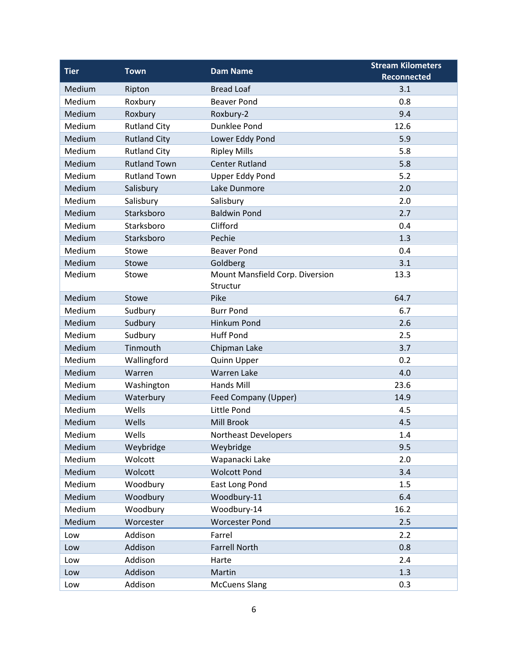| <b>Tier</b> | <b>Town</b>         | <b>Dam Name</b>                             | <b>Stream Kilometers</b> |
|-------------|---------------------|---------------------------------------------|--------------------------|
|             |                     |                                             | <b>Reconnected</b>       |
| Medium      | Ripton              | <b>Bread Loaf</b>                           | 3.1                      |
| Medium      | Roxbury             | <b>Beaver Pond</b>                          | 0.8                      |
| Medium      | Roxbury             | Roxbury-2                                   | 9.4                      |
| Medium      | <b>Rutland City</b> | Dunklee Pond                                | 12.6                     |
| Medium      | <b>Rutland City</b> | Lower Eddy Pond                             | 5.9                      |
| Medium      | <b>Rutland City</b> | <b>Ripley Mills</b>                         | 5.8                      |
| Medium      | <b>Rutland Town</b> | <b>Center Rutland</b>                       | 5.8                      |
| Medium      | <b>Rutland Town</b> | <b>Upper Eddy Pond</b>                      | 5.2                      |
| Medium      | Salisbury           | Lake Dunmore                                | 2.0                      |
| Medium      | Salisbury           | Salisbury                                   | 2.0                      |
| Medium      | Starksboro          | <b>Baldwin Pond</b>                         | 2.7                      |
| Medium      | Starksboro          | Clifford                                    | 0.4                      |
| Medium      | Starksboro          | Pechie                                      | 1.3                      |
| Medium      | Stowe               | <b>Beaver Pond</b>                          | 0.4                      |
| Medium      | Stowe               | Goldberg                                    | 3.1                      |
| Medium      | Stowe               | Mount Mansfield Corp. Diversion<br>Structur | 13.3                     |
| Medium      | Stowe               | Pike                                        | 64.7                     |
| Medium      | Sudbury             | <b>Burr Pond</b>                            | 6.7                      |
| Medium      | Sudbury             | <b>Hinkum Pond</b>                          | 2.6                      |
| Medium      | Sudbury             | <b>Huff Pond</b>                            | 2.5                      |
| Medium      | Tinmouth            | Chipman Lake                                | 3.7                      |
| Medium      | Wallingford         | Quinn Upper                                 | 0.2                      |
| Medium      | Warren              | <b>Warren Lake</b>                          | 4.0                      |
| Medium      | Washington          | <b>Hands Mill</b>                           | 23.6                     |
| Medium      | Waterbury           | Feed Company (Upper)                        | 14.9                     |
| Medium      | Wells               | Little Pond                                 | 4.5                      |
| Medium      | Wells               | <b>Mill Brook</b>                           | 4.5                      |
| Medium      | Wells               | Northeast Developers                        | 1.4                      |
| Medium      | Weybridge           | Weybridge                                   | 9.5                      |
| Medium      | Wolcott             | Wapanacki Lake                              | 2.0                      |
| Medium      | Wolcott             | <b>Wolcott Pond</b>                         | 3.4                      |
| Medium      | Woodbury            | East Long Pond                              | 1.5                      |
| Medium      | Woodbury            | Woodbury-11                                 | 6.4                      |
| Medium      | Woodbury            | Woodbury-14                                 | 16.2                     |
| Medium      | Worcester           | <b>Worcester Pond</b>                       | 2.5                      |
| Low         | Addison             | Farrel                                      | 2.2                      |
| Low         | Addison             | <b>Farrell North</b>                        | 0.8                      |
| Low         | Addison             | Harte                                       | 2.4                      |
| Low         | Addison             | Martin                                      | 1.3                      |
| Low         | Addison             | <b>McCuens Slang</b>                        | 0.3                      |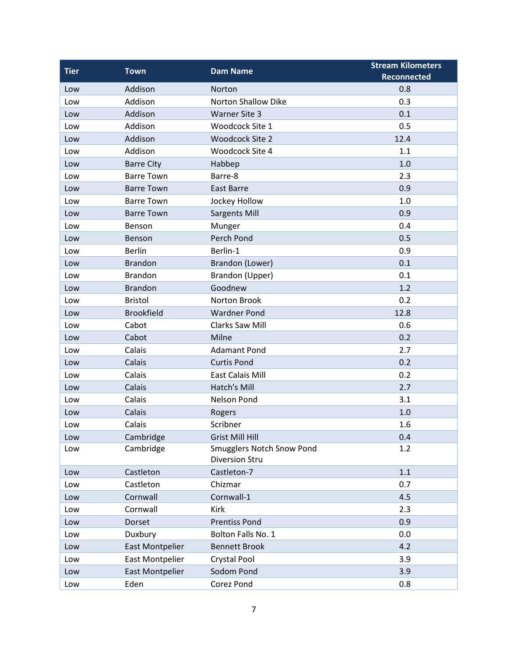| <b>Tier</b> | <b>Town</b>            | <b>Dam Name</b>                                    | <b>Stream Kilometers</b> |
|-------------|------------------------|----------------------------------------------------|--------------------------|
|             |                        |                                                    | <b>Reconnected</b>       |
| Low         | Addison                | Norton                                             | 0.8                      |
| Low         | Addison                | <b>Norton Shallow Dike</b>                         | 0.3                      |
| Low         | Addison                | <b>Warner Site 3</b>                               | 0.1                      |
| Low         | Addison                | Woodcock Site 1                                    | 0.5                      |
| Low         | Addison                | <b>Woodcock Site 2</b>                             | 12.4                     |
| Low         | Addison                | Woodcock Site 4                                    | 1.1                      |
| Low         | <b>Barre City</b>      | Habbep                                             | 1.0                      |
| Low         | <b>Barre Town</b>      | Barre-8                                            | 2.3                      |
| Low         | <b>Barre Town</b>      | <b>East Barre</b>                                  | 0.9                      |
| Low         | <b>Barre Town</b>      | Jockey Hollow                                      | 1.0                      |
| Low         | <b>Barre Town</b>      | <b>Sargents Mill</b>                               | 0.9                      |
| Low         | Benson                 | Munger                                             | 0.4                      |
| Low         | Benson                 | Perch Pond                                         | 0.5                      |
| Low         | <b>Berlin</b>          | Berlin-1                                           | 0.9                      |
| Low         | <b>Brandon</b>         | Brandon (Lower)                                    | 0.1                      |
| Low         | <b>Brandon</b>         | Brandon (Upper)                                    | 0.1                      |
| Low         | <b>Brandon</b>         | Goodnew                                            | 1.2                      |
| Low         | <b>Bristol</b>         | Norton Brook                                       | 0.2                      |
| Low         | <b>Brookfield</b>      | <b>Wardner Pond</b>                                | 12.8                     |
| Low         | Cabot                  | Clarks Saw Mill                                    | 0.6                      |
| Low         | Cabot                  | Milne                                              | 0.2                      |
| Low         | Calais                 | <b>Adamant Pond</b>                                | 2.7                      |
| Low         | Calais                 | <b>Curtis Pond</b>                                 | 0.2                      |
| Low         | Calais                 | <b>East Calais Mill</b>                            | 0.2                      |
| Low         | Calais                 | <b>Hatch's Mill</b>                                | 2.7                      |
| Low         | Calais                 | Nelson Pond                                        | 3.1                      |
| Low         | Calais                 | Rogers                                             | 1.0                      |
| Low         | Calais                 | Scribner                                           | 1.6                      |
| Low         | Cambridge              | <b>Grist Mill Hill</b>                             | 0.4                      |
| Low         | Cambridge              | Smugglers Notch Snow Pond<br><b>Diversion Stru</b> | 1.2                      |
| Low         | Castleton              | Castleton-7                                        | 1.1                      |
| Low         | Castleton              | Chizmar                                            | 0.7                      |
| Low         | Cornwall               | Cornwall-1                                         | 4.5                      |
| Low         | Cornwall               | Kirk                                               | 2.3                      |
| Low         | Dorset                 | <b>Prentiss Pond</b>                               | 0.9                      |
| Low         | Duxbury                | Bolton Falls No. 1                                 | 0.0                      |
| Low         | <b>East Montpelier</b> | <b>Bennett Brook</b>                               | 4.2                      |
| Low         | <b>East Montpelier</b> | Crystal Pool                                       | 3.9                      |
| Low         | <b>East Montpelier</b> | Sodom Pond                                         | 3.9                      |
| Low         | Eden                   | Corez Pond                                         | 0.8                      |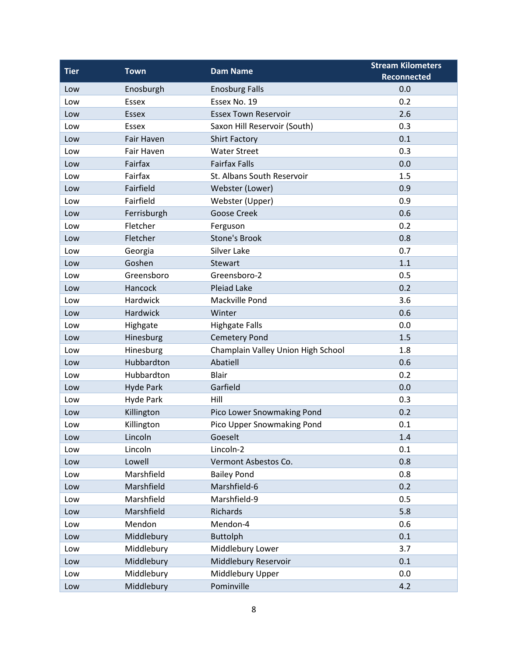| <b>Tier</b> | <b>Town</b>      | <b>Dam Name</b>                    | <b>Stream Kilometers</b> |
|-------------|------------------|------------------------------------|--------------------------|
|             |                  |                                    | <b>Reconnected</b>       |
| Low         | Enosburgh        | <b>Enosburg Falls</b>              | 0.0                      |
| Low         | Essex            | Essex No. 19                       | 0.2                      |
| Low         | <b>Essex</b>     | <b>Essex Town Reservoir</b>        | 2.6                      |
| Low         | Essex            | Saxon Hill Reservoir (South)       | 0.3                      |
| Low         | Fair Haven       | <b>Shirt Factory</b>               | 0.1                      |
| Low         | Fair Haven       | <b>Water Street</b>                | 0.3                      |
| Low         | Fairfax          | <b>Fairfax Falls</b>               | 0.0                      |
| Low         | Fairfax          | St. Albans South Reservoir         | 1.5                      |
| Low         | Fairfield        | Webster (Lower)                    | 0.9                      |
| Low         | Fairfield        | Webster (Upper)                    | 0.9                      |
| Low         | Ferrisburgh      | <b>Goose Creek</b>                 | 0.6                      |
| Low         | Fletcher         | Ferguson                           | 0.2                      |
| Low         | Fletcher         | <b>Stone's Brook</b>               | 0.8                      |
| Low         | Georgia          | Silver Lake                        | 0.7                      |
| Low         | Goshen           | <b>Stewart</b>                     | 1.1                      |
| Low         | Greensboro       | Greensboro-2                       | 0.5                      |
| Low         | Hancock          | <b>Pleiad Lake</b>                 | 0.2                      |
| Low         | Hardwick         | Mackville Pond                     | 3.6                      |
| Low         | Hardwick         | Winter                             | 0.6                      |
| Low         | Highgate         | <b>Highgate Falls</b>              | 0.0                      |
| Low         | Hinesburg        | <b>Cemetery Pond</b>               | 1.5                      |
| Low         | Hinesburg        | Champlain Valley Union High School | 1.8                      |
| Low         | Hubbardton       | Abatiell                           | 0.6                      |
| Low         | Hubbardton       | <b>Blair</b>                       | 0.2                      |
| Low         | <b>Hyde Park</b> | Garfield                           | 0.0                      |
| Low         | <b>Hyde Park</b> | Hill                               | 0.3                      |
| Low         | Killington       | Pico Lower Snowmaking Pond         | 0.2                      |
| Low         | Killington       | Pico Upper Snowmaking Pond         | 0.1                      |
| Low         | Lincoln          | Goeselt                            | 1.4                      |
| Low         | Lincoln          | Lincoln-2                          | 0.1                      |
| Low         | Lowell           | Vermont Asbestos Co.               | 0.8                      |
| Low         | Marshfield       | <b>Bailey Pond</b>                 | 0.8                      |
| Low         | Marshfield       | Marshfield-6                       | 0.2                      |
| Low         | Marshfield       | Marshfield-9                       | 0.5                      |
| Low         | Marshfield       | Richards                           | 5.8                      |
| Low         | Mendon           | Mendon-4                           | 0.6                      |
| Low         | Middlebury       | <b>Buttolph</b>                    | 0.1                      |
| Low         | Middlebury       | Middlebury Lower                   | 3.7                      |
| Low         | Middlebury       | Middlebury Reservoir               | 0.1                      |
| Low         | Middlebury       | Middlebury Upper                   | 0.0                      |
| Low         | Middlebury       | Pominville                         | 4.2                      |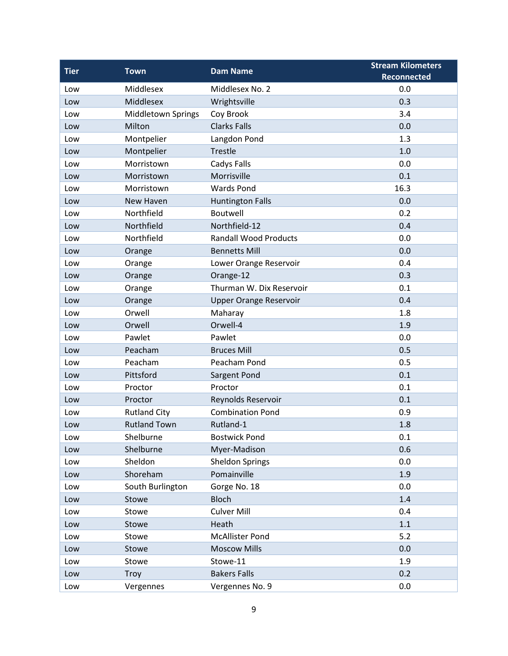| <b>Tier</b> | <b>Town</b>               | <b>Dam Name</b>               | <b>Stream Kilometers</b> |
|-------------|---------------------------|-------------------------------|--------------------------|
|             |                           |                               | <b>Reconnected</b>       |
| Low         | Middlesex                 | Middlesex No. 2               | 0.0                      |
| Low         | Middlesex                 | Wrightsville                  | 0.3                      |
| Low         | <b>Middletown Springs</b> | Coy Brook                     | 3.4                      |
| Low         | Milton                    | <b>Clarks Falls</b>           | 0.0                      |
| Low         | Montpelier                | Langdon Pond                  | 1.3                      |
| Low         | Montpelier                | <b>Trestle</b>                | 1.0                      |
| Low         | Morristown                | Cadys Falls                   | 0.0                      |
| Low         | Morristown                | Morrisville                   | 0.1                      |
| Low         | Morristown                | <b>Wards Pond</b>             | 16.3                     |
| Low         | New Haven                 | <b>Huntington Falls</b>       | 0.0                      |
| Low         | Northfield                | Boutwell                      | 0.2                      |
| Low         | Northfield                | Northfield-12                 | 0.4                      |
| Low         | Northfield                | <b>Randall Wood Products</b>  | 0.0                      |
| Low         | Orange                    | <b>Bennetts Mill</b>          | 0.0                      |
| Low         | Orange                    | Lower Orange Reservoir        | 0.4                      |
| Low         | Orange                    | Orange-12                     | 0.3                      |
| Low         | Orange                    | Thurman W. Dix Reservoir      | 0.1                      |
| Low         | Orange                    | <b>Upper Orange Reservoir</b> | 0.4                      |
| Low         | Orwell                    | Maharay                       | 1.8                      |
| Low         | Orwell                    | Orwell-4                      | 1.9                      |
| Low         | Pawlet                    | Pawlet                        | 0.0                      |
| Low         | Peacham                   | <b>Bruces Mill</b>            | 0.5                      |
| Low         | Peacham                   | Peacham Pond                  | 0.5                      |
| Low         | Pittsford                 | Sargent Pond                  | 0.1                      |
| Low         | Proctor                   | Proctor                       | 0.1                      |
| Low         | Proctor                   | Reynolds Reservoir            | 0.1                      |
| Low         | <b>Rutland City</b>       | <b>Combination Pond</b>       | 0.9                      |
| Low         | <b>Rutland Town</b>       | Rutland-1                     | 1.8                      |
| Low         | Shelburne                 | <b>Bostwick Pond</b>          | 0.1                      |
| Low         | Shelburne                 | Myer-Madison                  | 0.6                      |
| Low         | Sheldon                   | <b>Sheldon Springs</b>        | 0.0                      |
| Low         | Shoreham                  | Pomainville                   | 1.9                      |
| Low         | South Burlington          | Gorge No. 18                  | 0.0                      |
| Low         | Stowe                     | <b>Bloch</b>                  | 1.4                      |
| Low         | Stowe                     | <b>Culver Mill</b>            | 0.4                      |
| Low         | Stowe                     | Heath                         | 1.1                      |
| Low         | Stowe                     | <b>McAllister Pond</b>        | 5.2                      |
| Low         | Stowe                     | <b>Moscow Mills</b>           | 0.0                      |
| Low         | Stowe                     | Stowe-11                      | 1.9                      |
| Low         | <b>Troy</b>               | <b>Bakers Falls</b>           | 0.2                      |
| Low         | Vergennes                 | Vergennes No. 9               | 0.0                      |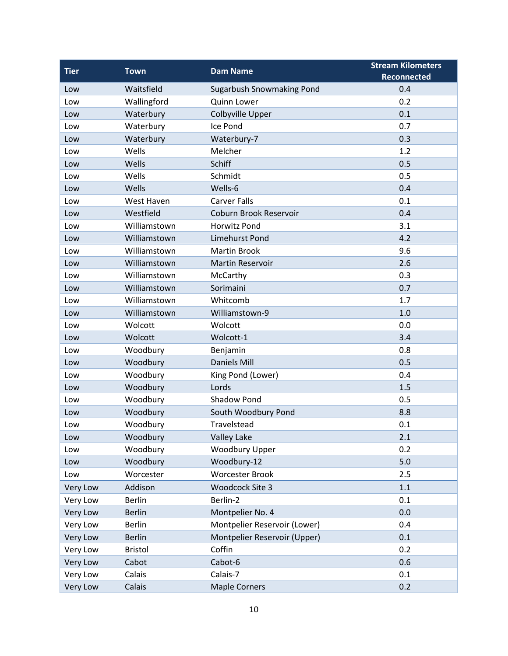| <b>Tier</b>     | <b>Town</b>    | <b>Dam Name</b>                  | <b>Stream Kilometers</b> |
|-----------------|----------------|----------------------------------|--------------------------|
|                 |                |                                  | <b>Reconnected</b>       |
| Low             | Waitsfield     | <b>Sugarbush Snowmaking Pond</b> | 0.4                      |
| Low             | Wallingford    | <b>Quinn Lower</b>               | 0.2                      |
| Low             | Waterbury      | Colbyville Upper                 | 0.1                      |
| Low             | Waterbury      | Ice Pond                         | 0.7                      |
| Low             | Waterbury      | Waterbury-7                      | 0.3                      |
| Low             | Wells          | Melcher                          | 1.2                      |
| Low             | Wells          | Schiff                           | 0.5                      |
| Low             | Wells          | Schmidt                          | 0.5                      |
| Low             | Wells          | Wells-6                          | 0.4                      |
| Low             | West Haven     | <b>Carver Falls</b>              | 0.1                      |
| Low             | Westfield      | Coburn Brook Reservoir           | 0.4                      |
| Low             | Williamstown   | <b>Horwitz Pond</b>              | 3.1                      |
| Low             | Williamstown   | <b>Limehurst Pond</b>            | 4.2                      |
| Low             | Williamstown   | <b>Martin Brook</b>              | 9.6                      |
| Low             | Williamstown   | <b>Martin Reservoir</b>          | 2.6                      |
| Low             | Williamstown   | McCarthy                         | 0.3                      |
| Low             | Williamstown   | Sorimaini                        | 0.7                      |
| Low             | Williamstown   | Whitcomb                         | 1.7                      |
| Low             | Williamstown   | Williamstown-9                   | 1.0                      |
| Low             | Wolcott        | Wolcott                          | 0.0                      |
| Low             | Wolcott        | Wolcott-1                        | 3.4                      |
| Low             | Woodbury       | Benjamin                         | 0.8                      |
| Low             | Woodbury       | <b>Daniels Mill</b>              | 0.5                      |
| Low             | Woodbury       | King Pond (Lower)                | 0.4                      |
| Low             | Woodbury       | Lords                            | 1.5                      |
| Low             | Woodbury       | <b>Shadow Pond</b>               | 0.5                      |
| Low             | Woodbury       | South Woodbury Pond              | 8.8                      |
| Low             | Woodbury       | Travelstead                      | 0.1                      |
| Low             | Woodbury       | <b>Valley Lake</b>               | 2.1                      |
| Low             | Woodbury       | <b>Woodbury Upper</b>            | 0.2                      |
| Low             | Woodbury       | Woodbury-12                      | 5.0                      |
| Low             | Worcester      | <b>Worcester Brook</b>           | 2.5                      |
| Very Low        | Addison        | Woodcock Site 3                  | $1.1\,$                  |
| Very Low        | <b>Berlin</b>  | Berlin-2                         | 0.1                      |
| Very Low        | <b>Berlin</b>  | Montpelier No. 4                 | 0.0                      |
| Very Low        | <b>Berlin</b>  | Montpelier Reservoir (Lower)     | 0.4                      |
| Very Low        | <b>Berlin</b>  | Montpelier Reservoir (Upper)     | 0.1                      |
| Very Low        | <b>Bristol</b> | Coffin                           | 0.2                      |
| Very Low        | Cabot          | Cabot-6                          | 0.6                      |
| Very Low        | Calais         | Calais-7                         | 0.1                      |
| <b>Very Low</b> | Calais         | <b>Maple Corners</b>             | 0.2                      |